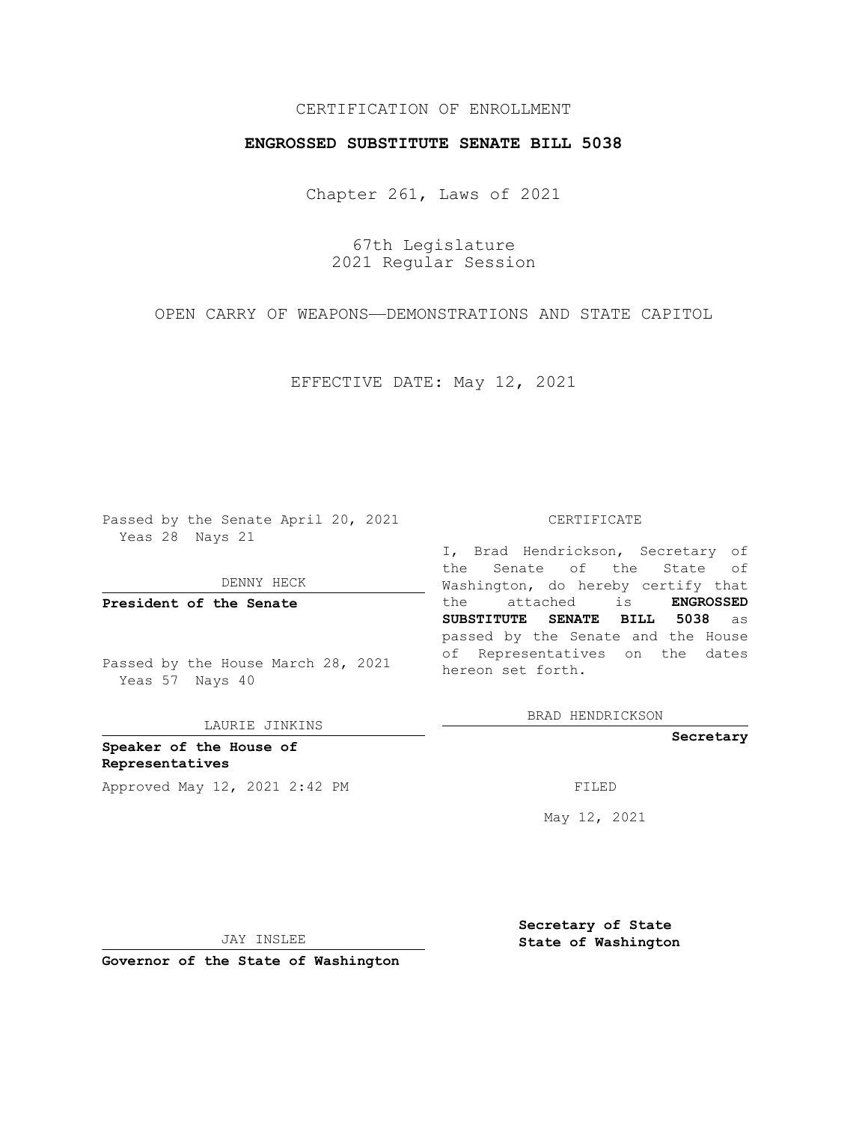## CERTIFICATION OF ENROLLMENT

## **ENGROSSED SUBSTITUTE SENATE BILL 5038**

Chapter 261, Laws of 2021

67th Legislature 2021 Regular Session

OPEN CARRY OF WEAPONS—DEMONSTRATIONS AND STATE CAPITOL

EFFECTIVE DATE: May 12, 2021

Passed by the Senate April 20, 2021 Yeas 28 Nays 21

DENNY HECK

**President of the Senate**

Passed by the House March 28, 2021 Yeas 57 Nays 40

LAURIE JINKINS

**Speaker of the House of Representatives** Approved May 12, 2021 2:42 PM FILED

#### CERTIFICATE

I, Brad Hendrickson, Secretary of the Senate of the State of Washington, do hereby certify that the attached is **ENGROSSED SUBSTITUTE SENATE BILL 5038** as passed by the Senate and the House of Representatives on the dates hereon set forth.

BRAD HENDRICKSON

**Secretary**

May 12, 2021

JAY INSLEE

**Secretary of State State of Washington**

**Governor of the State of Washington**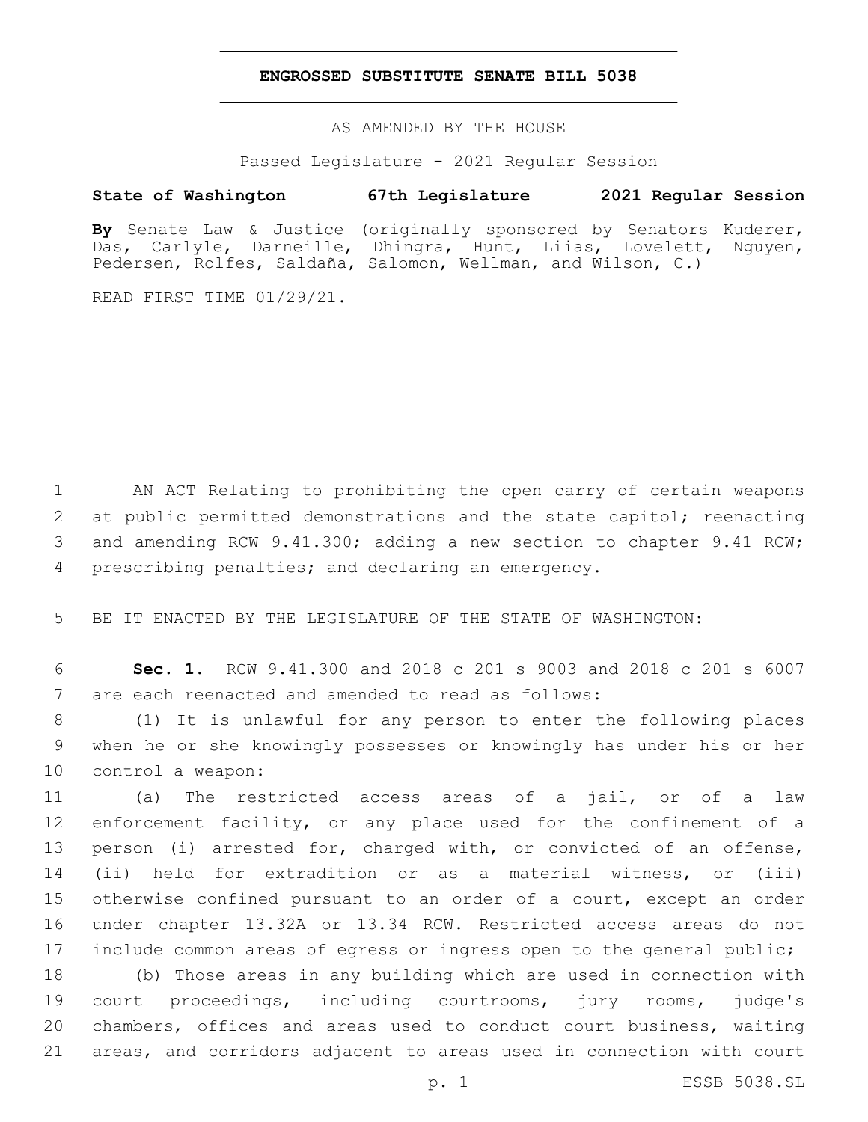### **ENGROSSED SUBSTITUTE SENATE BILL 5038**

AS AMENDED BY THE HOUSE

Passed Legislature - 2021 Regular Session

# **State of Washington 67th Legislature 2021 Regular Session**

**By** Senate Law & Justice (originally sponsored by Senators Kuderer, Das, Carlyle, Darneille, Dhingra, Hunt, Liias, Lovelett, Nguyen, Pedersen, Rolfes, Saldaña, Salomon, Wellman, and Wilson, C.)

READ FIRST TIME 01/29/21.

1 AN ACT Relating to prohibiting the open carry of certain weapons 2 at public permitted demonstrations and the state capitol; reenacting 3 and amending RCW 9.41.300; adding a new section to chapter 9.41 RCW; 4 prescribing penalties; and declaring an emergency.

5 BE IT ENACTED BY THE LEGISLATURE OF THE STATE OF WASHINGTON:

6 **Sec. 1.** RCW 9.41.300 and 2018 c 201 s 9003 and 2018 c 201 s 6007 7 are each reenacted and amended to read as follows:

8 (1) It is unlawful for any person to enter the following places 9 when he or she knowingly possesses or knowingly has under his or her 10 control a weapon:

 (a) The restricted access areas of a jail, or of a law enforcement facility, or any place used for the confinement of a person (i) arrested for, charged with, or convicted of an offense, (ii) held for extradition or as a material witness, or (iii) otherwise confined pursuant to an order of a court, except an order under chapter 13.32A or 13.34 RCW. Restricted access areas do not include common areas of egress or ingress open to the general public;

 (b) Those areas in any building which are used in connection with court proceedings, including courtrooms, jury rooms, judge's chambers, offices and areas used to conduct court business, waiting areas, and corridors adjacent to areas used in connection with court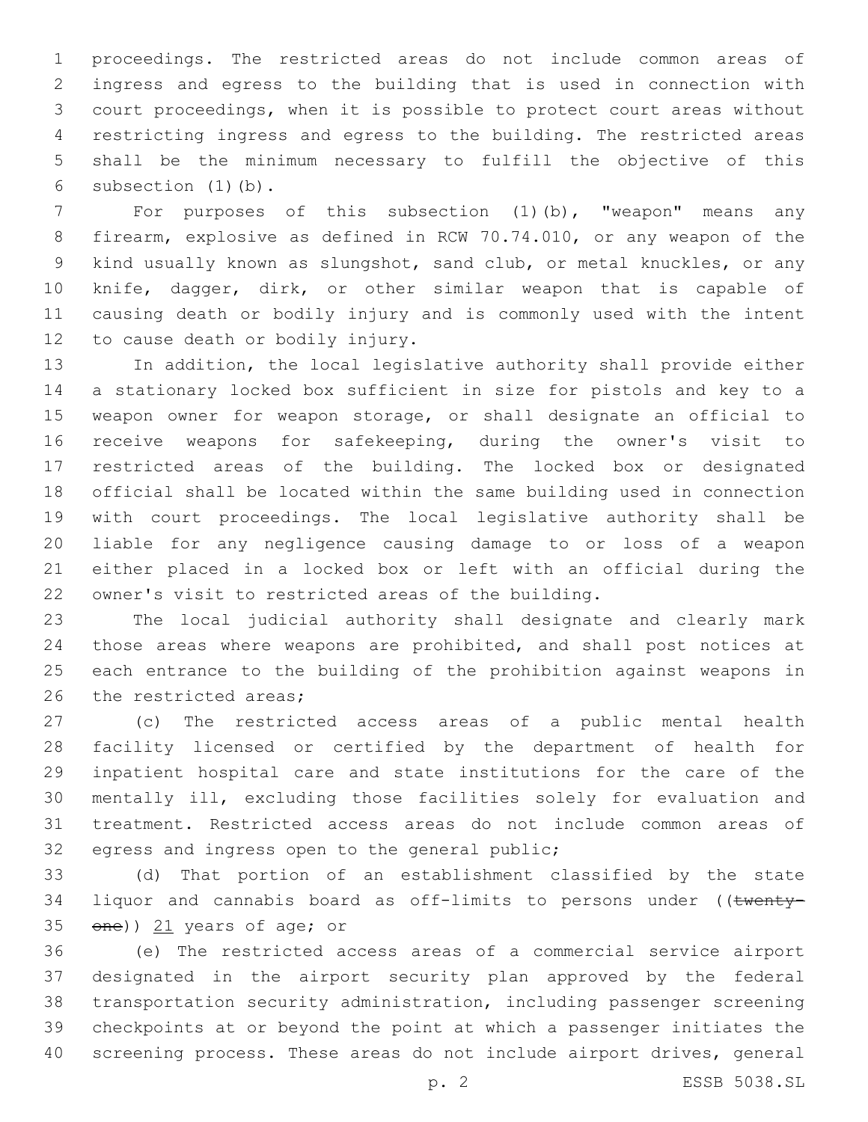proceedings. The restricted areas do not include common areas of ingress and egress to the building that is used in connection with court proceedings, when it is possible to protect court areas without restricting ingress and egress to the building. The restricted areas shall be the minimum necessary to fulfill the objective of this 6 subsection  $(1)$   $(b)$ .

 For purposes of this subsection (1)(b), "weapon" means any firearm, explosive as defined in RCW 70.74.010, or any weapon of the kind usually known as slungshot, sand club, or metal knuckles, or any knife, dagger, dirk, or other similar weapon that is capable of causing death or bodily injury and is commonly used with the intent 12 to cause death or bodily injury.

 In addition, the local legislative authority shall provide either a stationary locked box sufficient in size for pistols and key to a weapon owner for weapon storage, or shall designate an official to receive weapons for safekeeping, during the owner's visit to restricted areas of the building. The locked box or designated official shall be located within the same building used in connection with court proceedings. The local legislative authority shall be liable for any negligence causing damage to or loss of a weapon either placed in a locked box or left with an official during the owner's visit to restricted areas of the building.

 The local judicial authority shall designate and clearly mark those areas where weapons are prohibited, and shall post notices at each entrance to the building of the prohibition against weapons in 26 the restricted areas:

 (c) The restricted access areas of a public mental health facility licensed or certified by the department of health for inpatient hospital care and state institutions for the care of the mentally ill, excluding those facilities solely for evaluation and treatment. Restricted access areas do not include common areas of 32 egress and ingress open to the general public;

 (d) That portion of an establishment classified by the state 34 liquor and cannabis board as off-limits to persons under ((twenty-35  $\theta$ ene)) 21 years of age; or

 (e) The restricted access areas of a commercial service airport designated in the airport security plan approved by the federal transportation security administration, including passenger screening checkpoints at or beyond the point at which a passenger initiates the screening process. These areas do not include airport drives, general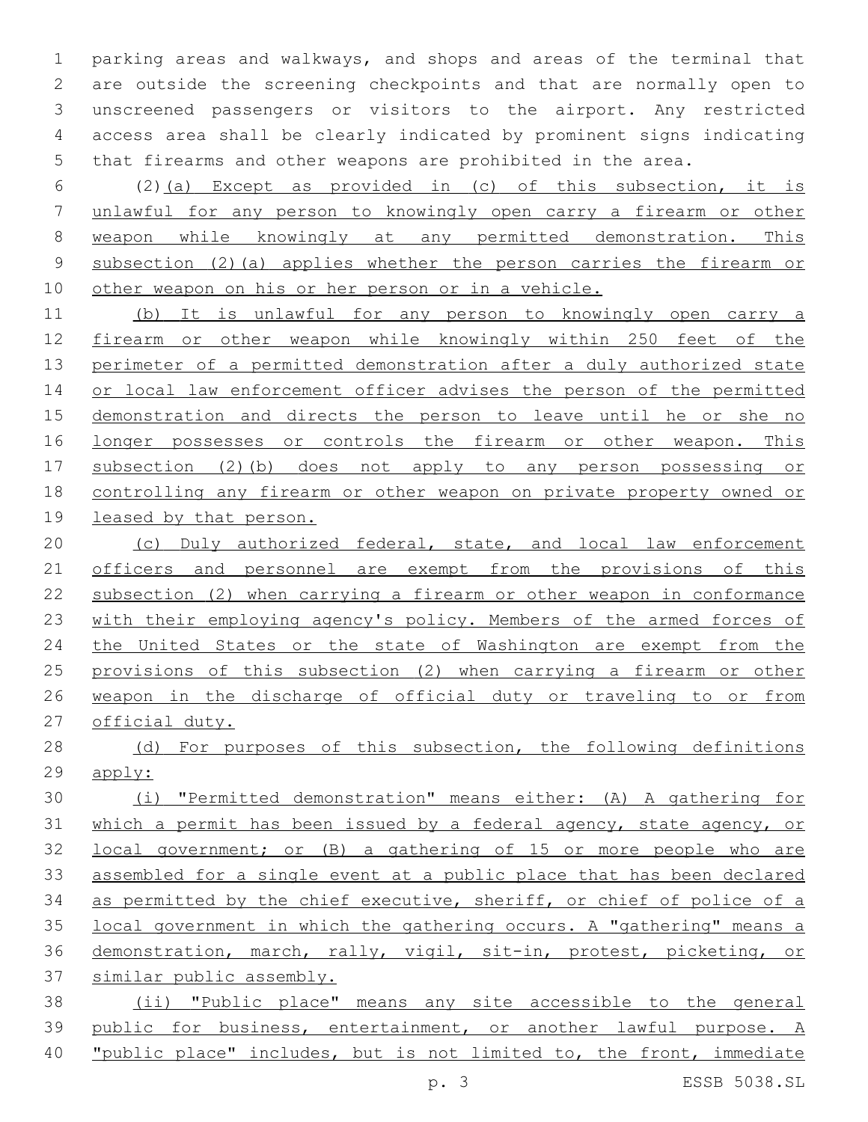parking areas and walkways, and shops and areas of the terminal that are outside the screening checkpoints and that are normally open to unscreened passengers or visitors to the airport. Any restricted access area shall be clearly indicated by prominent signs indicating that firearms and other weapons are prohibited in the area.

 (2)(a) Except as provided in (c) of this subsection, it is unlawful for any person to knowingly open carry a firearm or other weapon while knowingly at any permitted demonstration. This subsection (2)(a) applies whether the person carries the firearm or other weapon on his or her person or in a vehicle.

 (b) It is unlawful for any person to knowingly open carry a firearm or other weapon while knowingly within 250 feet of the perimeter of a permitted demonstration after a duly authorized state 14 or local law enforcement officer advises the person of the permitted demonstration and directs the person to leave until he or she no longer possesses or controls the firearm or other weapon. This subsection (2)(b) does not apply to any person possessing or controlling any firearm or other weapon on private property owned or leased by that person.

 (c) Duly authorized federal, state, and local law enforcement 21 officers and personnel are exempt from the provisions of this subsection (2) when carrying a firearm or other weapon in conformance with their employing agency's policy. Members of the armed forces of 24 the United States or the state of Washington are exempt from the provisions of this subsection (2) when carrying a firearm or other weapon in the discharge of official duty or traveling to or from official duty.

28 (d) For purposes of this subsection, the following definitions apply:

 (i) "Permitted demonstration" means either: (A) A gathering for which a permit has been issued by a federal agency, state agency, or local government; or (B) a gathering of 15 or more people who are assembled for a single event at a public place that has been declared as permitted by the chief executive, sheriff, or chief of police of a local government in which the gathering occurs. A "gathering" means a demonstration, march, rally, vigil, sit-in, protest, picketing, or similar public assembly. (ii) "Public place" means any site accessible to the general

 public for business, entertainment, or another lawful purpose. A "public place" includes, but is not limited to, the front, immediate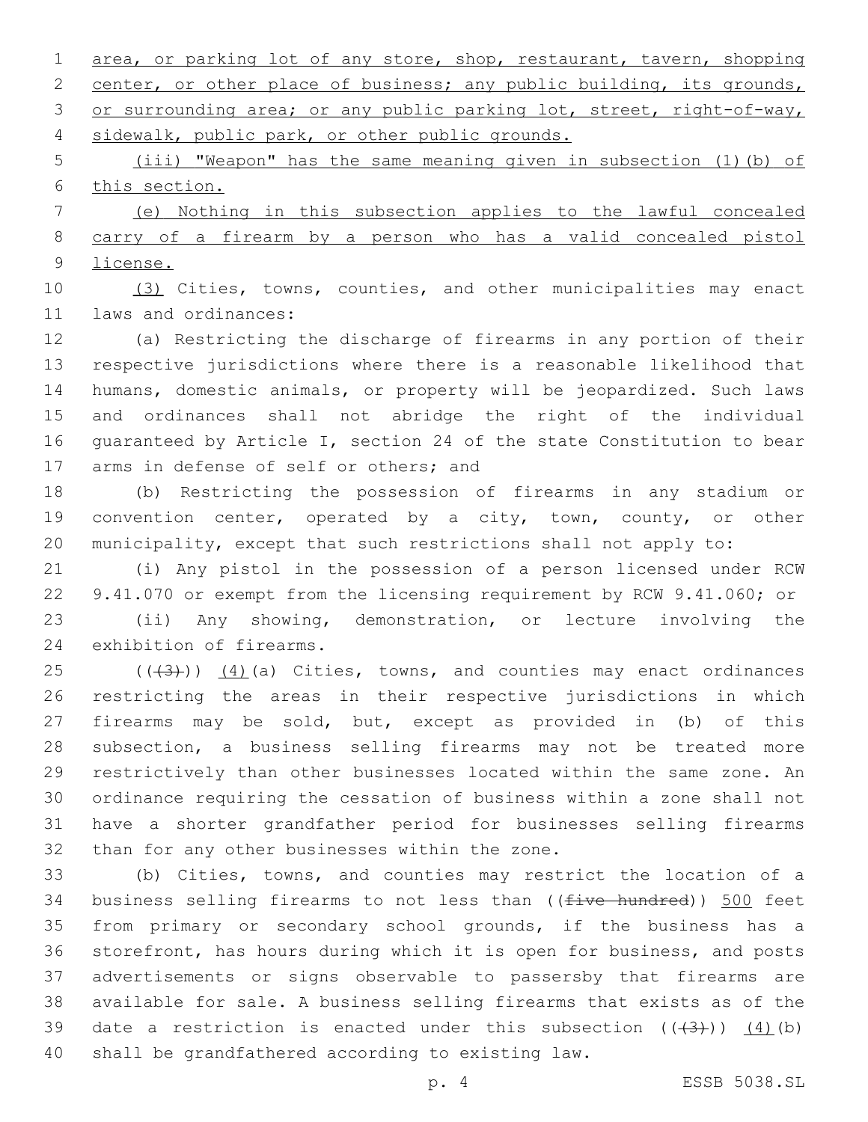area, or parking lot of any store, shop, restaurant, tavern, shopping 2 center, or other place of business; any public building, its grounds, 3 or surrounding area; or any public parking lot, street, right-of-way, 4 sidewalk, public park, or other public grounds.

 (iii) "Weapon" has the same meaning given in subsection (1)(b) of this section.

 (e) Nothing in this subsection applies to the lawful concealed carry of a firearm by a person who has a valid concealed pistol license.

 (3) Cities, towns, counties, and other municipalities may enact 11 laws and ordinances:

 (a) Restricting the discharge of firearms in any portion of their respective jurisdictions where there is a reasonable likelihood that humans, domestic animals, or property will be jeopardized. Such laws and ordinances shall not abridge the right of the individual guaranteed by Article I, section 24 of the state Constitution to bear 17 arms in defense of self or others; and

 (b) Restricting the possession of firearms in any stadium or convention center, operated by a city, town, county, or other municipality, except that such restrictions shall not apply to:

 (i) Any pistol in the possession of a person licensed under RCW 9.41.070 or exempt from the licensing requirement by RCW 9.41.060; or

 (ii) Any showing, demonstration, or lecture involving the 24 exhibition of firearms.

 $(1)(3)$  (( $(4)(3)$ ) (4)(a) Cities, towns, and counties may enact ordinances restricting the areas in their respective jurisdictions in which firearms may be sold, but, except as provided in (b) of this subsection, a business selling firearms may not be treated more restrictively than other businesses located within the same zone. An ordinance requiring the cessation of business within a zone shall not have a shorter grandfather period for businesses selling firearms 32 than for any other businesses within the zone.

 (b) Cities, towns, and counties may restrict the location of a 34 business selling firearms to not less than  $($  ( $f$ ive hundred)) 500 feet from primary or secondary school grounds, if the business has a storefront, has hours during which it is open for business, and posts advertisements or signs observable to passersby that firearms are available for sale. A business selling firearms that exists as of the 39 date a restriction is enacted under this subsection  $((+3+))$   $(4)$  (b) 40 shall be grandfathered according to existing law.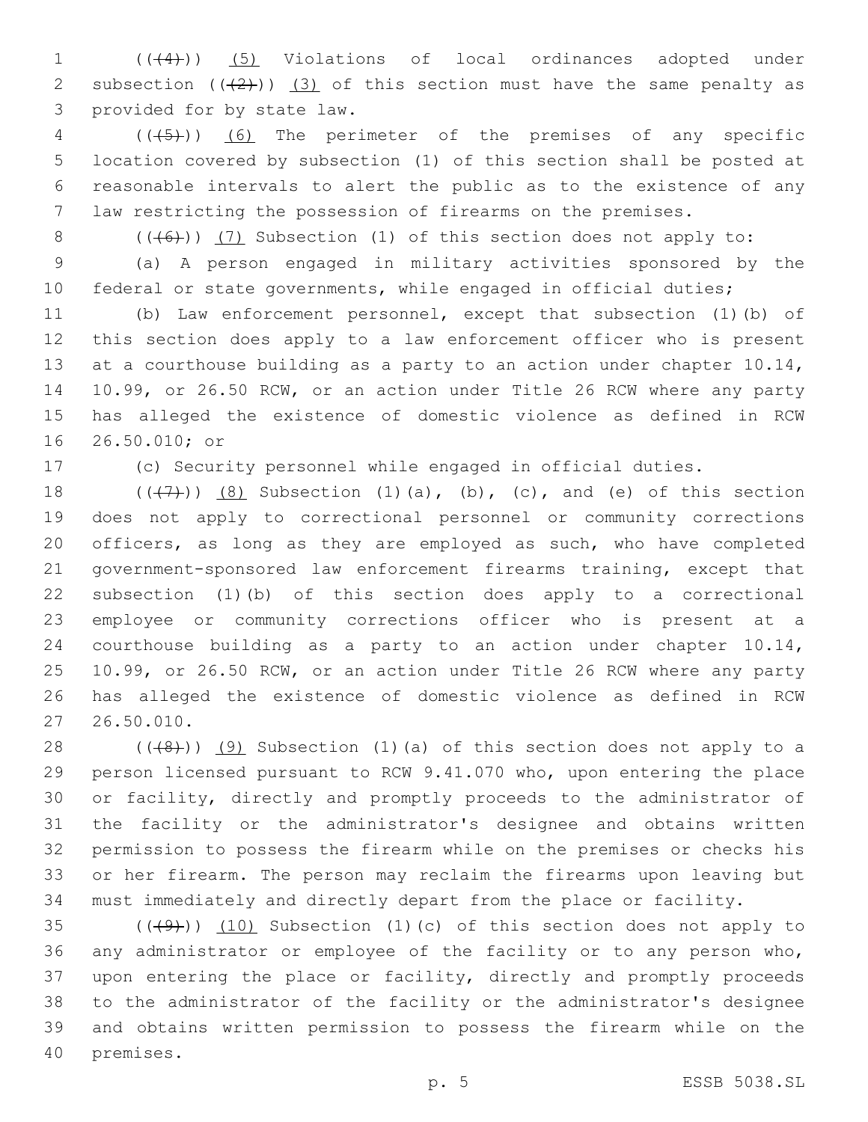1 (( $(4)$ )) (5) Violations of local ordinances adopted under 2 subsection  $((+2))$   $(3)$  of this section must have the same penalty as 3 provided for by state law.

 (((5))) (6) The perimeter of the premises of any specific location covered by subsection (1) of this section shall be posted at reasonable intervals to alert the public as to the existence of any law restricting the possession of firearms on the premises.

8  $((+6))$   $(7)$  Subsection (1) of this section does not apply to:

 (a) A person engaged in military activities sponsored by the 10 federal or state governments, while engaged in official duties;

 (b) Law enforcement personnel, except that subsection (1)(b) of this section does apply to a law enforcement officer who is present 13 at a courthouse building as a party to an action under chapter 10.14, 10.99, or 26.50 RCW, or an action under Title 26 RCW where any party has alleged the existence of domestic violence as defined in RCW 16 26.50.010; or

(c) Security personnel while engaged in official duties.

 $((+7+))$   $(8)$  Subsection  $(1)$   $(a)$ ,  $(b)$ ,  $(c)$ , and  $(e)$  of this section does not apply to correctional personnel or community corrections officers, as long as they are employed as such, who have completed government-sponsored law enforcement firearms training, except that subsection (1)(b) of this section does apply to a correctional employee or community corrections officer who is present at a courthouse building as a party to an action under chapter 10.14, 10.99, or 26.50 RCW, or an action under Title 26 RCW where any party has alleged the existence of domestic violence as defined in RCW 26.50.010.

 $((+8))$   $(9)$  Subsection (1)(a) of this section does not apply to a person licensed pursuant to RCW 9.41.070 who, upon entering the place or facility, directly and promptly proceeds to the administrator of the facility or the administrator's designee and obtains written permission to possess the firearm while on the premises or checks his or her firearm. The person may reclaim the firearms upon leaving but must immediately and directly depart from the place or facility.

 $(1)(35)$  ( $(19)$ ) (10) Subsection (1)(c) of this section does not apply to any administrator or employee of the facility or to any person who, upon entering the place or facility, directly and promptly proceeds to the administrator of the facility or the administrator's designee and obtains written permission to possess the firearm while on the 40 premises.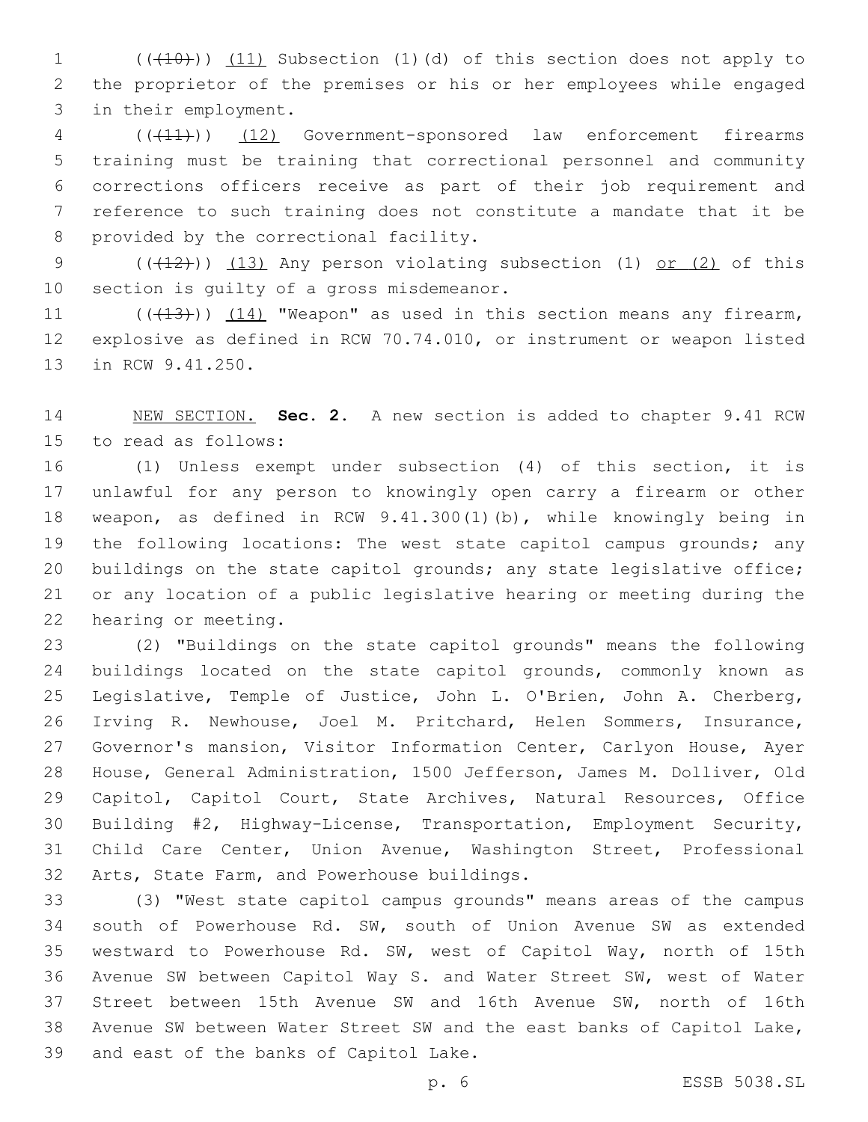1 (( $(410)$ )) (11) Subsection (1)(d) of this section does not apply to the proprietor of the premises or his or her employees while engaged 3 in their employment.

 (((11))) (12) Government-sponsored law enforcement firearms training must be training that correctional personnel and community corrections officers receive as part of their job requirement and reference to such training does not constitute a mandate that it be 8 provided by the correctional facility.

9 (( $(12)$ )) (13) Any person violating subsection (1) or (2) of this 10 section is quilty of a gross misdemeanor.

11 (((13))) (14) "Weapon" as used in this section means any firearm, explosive as defined in RCW 70.74.010, or instrument or weapon listed 13 in RCW 9.41.250.

 NEW SECTION. **Sec. 2.** A new section is added to chapter 9.41 RCW 15 to read as follows:

 (1) Unless exempt under subsection (4) of this section, it is unlawful for any person to knowingly open carry a firearm or other weapon, as defined in RCW 9.41.300(1)(b), while knowingly being in the following locations: The west state capitol campus grounds; any 20 buildings on the state capitol grounds; any state legislative office; or any location of a public legislative hearing or meeting during the 22 hearing or meeting.

 (2) "Buildings on the state capitol grounds" means the following buildings located on the state capitol grounds, commonly known as Legislative, Temple of Justice, John L. O'Brien, John A. Cherberg, Irving R. Newhouse, Joel M. Pritchard, Helen Sommers, Insurance, Governor's mansion, Visitor Information Center, Carlyon House, Ayer House, General Administration, 1500 Jefferson, James M. Dolliver, Old Capitol, Capitol Court, State Archives, Natural Resources, Office Building #2, Highway-License, Transportation, Employment Security, Child Care Center, Union Avenue, Washington Street, Professional 32 Arts, State Farm, and Powerhouse buildings.

 (3) "West state capitol campus grounds" means areas of the campus south of Powerhouse Rd. SW, south of Union Avenue SW as extended westward to Powerhouse Rd. SW, west of Capitol Way, north of 15th Avenue SW between Capitol Way S. and Water Street SW, west of Water Street between 15th Avenue SW and 16th Avenue SW, north of 16th Avenue SW between Water Street SW and the east banks of Capitol Lake, 39 and east of the banks of Capitol Lake.